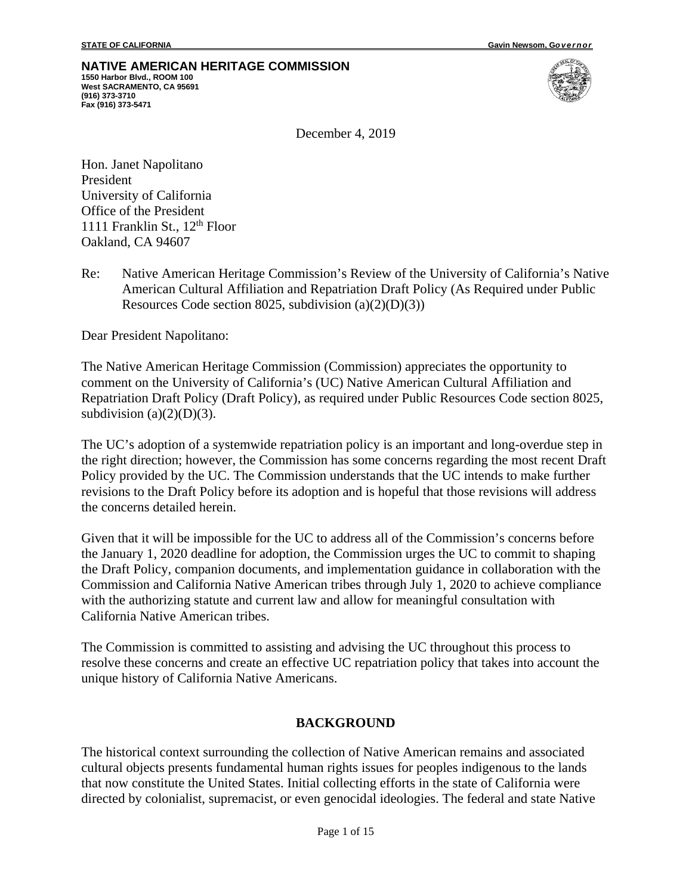# **NATIVE AMERICAN HERITAGE COMMISSION**

**1550 Harbor Blvd., ROOM 100 West SACRAMENTO, CA 95691 (916) 373-3710 Fax (916) 373-5471**



December 4, 2019

Hon. Janet Napolitano President University of California Office of the President 1111 Franklin St.,  $12<sup>th</sup>$  Floor Oakland, CA 94607

Re: Native American Heritage Commission's Review of the University of California's Native American Cultural Affiliation and Repatriation Draft Policy (As Required under Public Resources Code section 8025, subdivision  $(a)(2)(D)(3)$ 

Dear President Napolitano:

The Native American Heritage Commission (Commission) appreciates the opportunity to comment on the University of California's (UC) Native American Cultural Affiliation and Repatriation Draft Policy (Draft Policy), as required under Public Resources Code section 8025, subdivision  $(a)(2)(D)(3)$ .

The UC's adoption of a systemwide repatriation policy is an important and long-overdue step in the right direction; however, the Commission has some concerns regarding the most recent Draft Policy provided by the UC. The Commission understands that the UC intends to make further revisions to the Draft Policy before its adoption and is hopeful that those revisions will address the concerns detailed herein.

Given that it will be impossible for the UC to address all of the Commission's concerns before the January 1, 2020 deadline for adoption, the Commission urges the UC to commit to shaping the Draft Policy, companion documents, and implementation guidance in collaboration with the Commission and California Native American tribes through July 1, 2020 to achieve compliance with the authorizing statute and current law and allow for meaningful consultation with California Native American tribes.

The Commission is committed to assisting and advising the UC throughout this process to resolve these concerns and create an effective UC repatriation policy that takes into account the unique history of California Native Americans.

#### **BACKGROUND**

The historical context surrounding the collection of Native American remains and associated cultural objects presents fundamental human rights issues for peoples indigenous to the lands that now constitute the United States. Initial collecting efforts in the state of California were directed by colonialist, supremacist, or even genocidal ideologies. The federal and state Native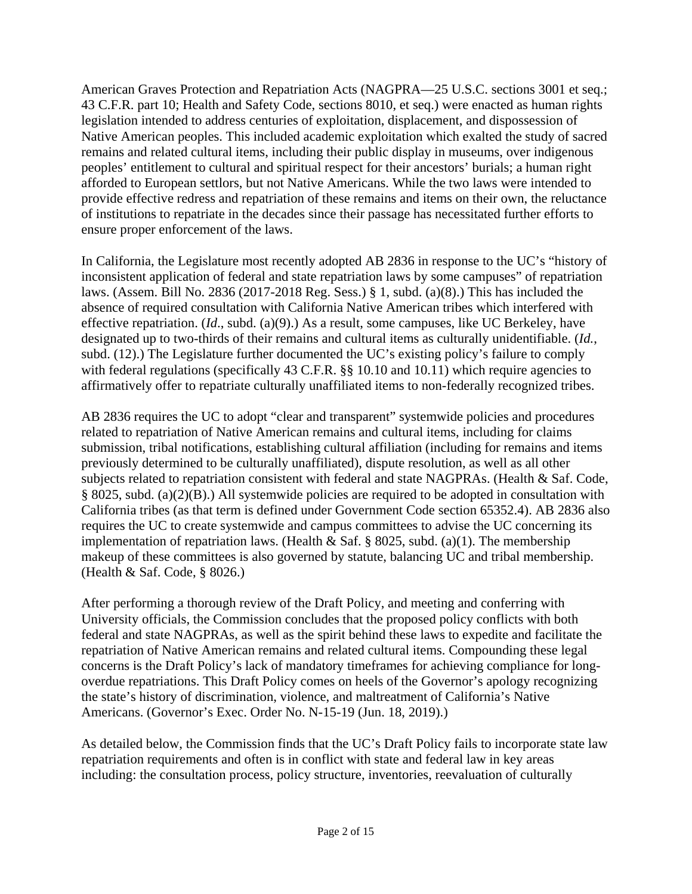American Graves Protection and Repatriation Acts (NAGPRA—25 U.S.C. sections 3001 et seq.; 43 C.F.R. part 10; Health and Safety Code, sections 8010, et seq.) were enacted as human rights legislation intended to address centuries of exploitation, displacement, and dispossession of Native American peoples. This included academic exploitation which exalted the study of sacred remains and related cultural items, including their public display in museums, over indigenous peoples' entitlement to cultural and spiritual respect for their ancestors' burials; a human right afforded to European settlors, but not Native Americans. While the two laws were intended to provide effective redress and repatriation of these remains and items on their own, the reluctance of institutions to repatriate in the decades since their passage has necessitated further efforts to ensure proper enforcement of the laws.

In California, the Legislature most recently adopted AB 2836 in response to the UC's "history of inconsistent application of federal and state repatriation laws by some campuses" of repatriation laws. (Assem. Bill No. 2836 (2017-2018 Reg. Sess.) § 1, subd. (a)(8).) This has included the absence of required consultation with California Native American tribes which interfered with effective repatriation. (*Id*., subd. (a)(9).) As a result, some campuses, like UC Berkeley, have designated up to two-thirds of their remains and cultural items as culturally unidentifiable. (*Id.*, subd. (12).) The Legislature further documented the UC's existing policy's failure to comply with federal regulations (specifically 43 C.F.R. §§ 10.10 and 10.11) which require agencies to affirmatively offer to repatriate culturally unaffiliated items to non-federally recognized tribes.

AB 2836 requires the UC to adopt "clear and transparent" systemwide policies and procedures related to repatriation of Native American remains and cultural items, including for claims submission, tribal notifications, establishing cultural affiliation (including for remains and items previously determined to be culturally unaffiliated), dispute resolution, as well as all other subjects related to repatriation consistent with federal and state NAGPRAs. (Health & Saf. Code, § 8025, subd. (a)(2)(B).) All systemwide policies are required to be adopted in consultation with California tribes (as that term is defined under Government Code section 65352.4). AB 2836 also requires the UC to create systemwide and campus committees to advise the UC concerning its implementation of repatriation laws. (Health & Saf. § 8025, subd. (a)(1). The membership makeup of these committees is also governed by statute, balancing UC and tribal membership. (Health & Saf. Code, § 8026.)

After performing a thorough review of the Draft Policy, and meeting and conferring with University officials, the Commission concludes that the proposed policy conflicts with both federal and state NAGPRAs, as well as the spirit behind these laws to expedite and facilitate the repatriation of Native American remains and related cultural items. Compounding these legal concerns is the Draft Policy's lack of mandatory timeframes for achieving compliance for longoverdue repatriations. This Draft Policy comes on heels of the Governor's apology recognizing the state's history of discrimination, violence, and maltreatment of California's Native Americans. (Governor's Exec. Order No. N-15-19 (Jun. 18, 2019).)

As detailed below, the Commission finds that the UC's Draft Policy fails to incorporate state law repatriation requirements and often is in conflict with state and federal law in key areas including: the consultation process, policy structure, inventories, reevaluation of culturally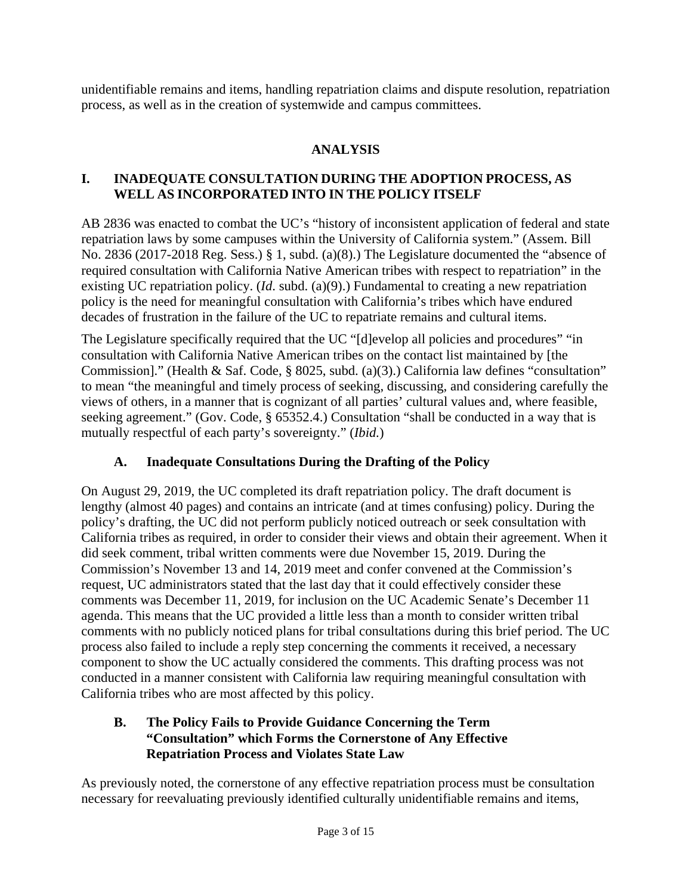unidentifiable remains and items, handling repatriation claims and dispute resolution, repatriation process, as well as in the creation of systemwide and campus committees.

## **ANALYSIS**

#### **I. INADEQUATE CONSULTATION DURING THE ADOPTION PROCESS, AS WELL AS INCORPORATED INTO IN THE POLICY ITSELF**

AB 2836 was enacted to combat the UC's "history of inconsistent application of federal and state repatriation laws by some campuses within the University of California system." (Assem. Bill No. 2836 (2017-2018 Reg. Sess.) § 1, subd. (a)(8).) The Legislature documented the "absence of required consultation with California Native American tribes with respect to repatriation" in the existing UC repatriation policy. (*Id*. subd. (a)(9).) Fundamental to creating a new repatriation policy is the need for meaningful consultation with California's tribes which have endured decades of frustration in the failure of the UC to repatriate remains and cultural items.

The Legislature specifically required that the UC "[d]evelop all policies and procedures" "in consultation with California Native American tribes on the contact list maintained by [the Commission]." (Health & Saf. Code, § 8025, subd. (a)(3).) California law defines "consultation" to mean "the meaningful and timely process of seeking, discussing, and considering carefully the views of others, in a manner that is cognizant of all parties' cultural values and, where feasible, seeking agreement." (Gov. Code, § 65352.4.) Consultation "shall be conducted in a way that is mutually respectful of each party's sovereignty." (*Ibid.*)

### **A. Inadequate Consultations During the Drafting of the Policy**

On August 29, 2019, the UC completed its draft repatriation policy. The draft document is lengthy (almost 40 pages) and contains an intricate (and at times confusing) policy. During the policy's drafting, the UC did not perform publicly noticed outreach or seek consultation with California tribes as required, in order to consider their views and obtain their agreement. When it did seek comment, tribal written comments were due November 15, 2019. During the Commission's November 13 and 14, 2019 meet and confer convened at the Commission's request, UC administrators stated that the last day that it could effectively consider these comments was December 11, 2019, for inclusion on the UC Academic Senate's December 11 agenda. This means that the UC provided a little less than a month to consider written tribal comments with no publicly noticed plans for tribal consultations during this brief period. The UC process also failed to include a reply step concerning the comments it received, a necessary component to show the UC actually considered the comments. This drafting process was not conducted in a manner consistent with California law requiring meaningful consultation with California tribes who are most affected by this policy.

#### **B. The Policy Fails to Provide Guidance Concerning the Term "Consultation" which Forms the Cornerstone of Any Effective Repatriation Process and Violates State Law**

As previously noted, the cornerstone of any effective repatriation process must be consultation necessary for reevaluating previously identified culturally unidentifiable remains and items,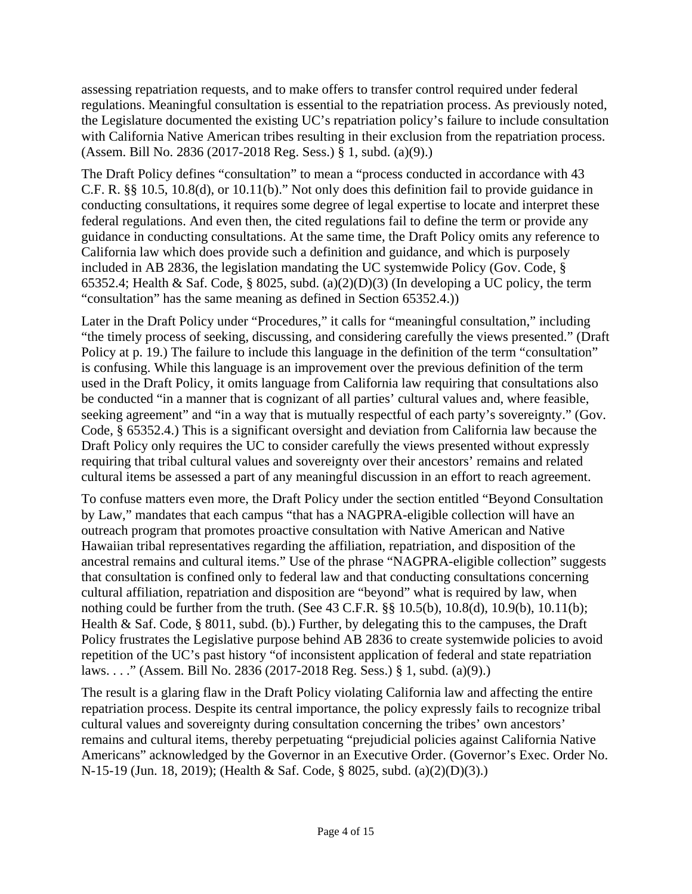assessing repatriation requests, and to make offers to transfer control required under federal regulations. Meaningful consultation is essential to the repatriation process. As previously noted, the Legislature documented the existing UC's repatriation policy's failure to include consultation with California Native American tribes resulting in their exclusion from the repatriation process. (Assem. Bill No. 2836 (2017-2018 Reg. Sess.) § 1, subd. (a)(9).)

The Draft Policy defines "consultation" to mean a "process conducted in accordance with 43 C.F. R. §§ 10.5, 10.8(d), or 10.11(b)." Not only does this definition fail to provide guidance in conducting consultations, it requires some degree of legal expertise to locate and interpret these federal regulations. And even then, the cited regulations fail to define the term or provide any guidance in conducting consultations. At the same time, the Draft Policy omits any reference to California law which does provide such a definition and guidance, and which is purposely included in AB 2836, the legislation mandating the UC systemwide Policy (Gov. Code, § 65352.4; Health & Saf. Code, § 8025, subd. (a)(2)(D)(3) (In developing a UC policy, the term "consultation" has the same meaning as defined in Section 65352.4.))

Later in the Draft Policy under "Procedures," it calls for "meaningful consultation," including "the timely process of seeking, discussing, and considering carefully the views presented." (Draft Policy at p. 19.) The failure to include this language in the definition of the term "consultation" is confusing. While this language is an improvement over the previous definition of the term used in the Draft Policy, it omits language from California law requiring that consultations also be conducted "in a manner that is cognizant of all parties' cultural values and, where feasible, seeking agreement" and "in a way that is mutually respectful of each party's sovereignty." (Gov. Code, § 65352.4.) This is a significant oversight and deviation from California law because the Draft Policy only requires the UC to consider carefully the views presented without expressly requiring that tribal cultural values and sovereignty over their ancestors' remains and related cultural items be assessed a part of any meaningful discussion in an effort to reach agreement.

To confuse matters even more, the Draft Policy under the section entitled "Beyond Consultation by Law," mandates that each campus "that has a NAGPRA-eligible collection will have an outreach program that promotes proactive consultation with Native American and Native Hawaiian tribal representatives regarding the affiliation, repatriation, and disposition of the ancestral remains and cultural items." Use of the phrase "NAGPRA-eligible collection" suggests that consultation is confined only to federal law and that conducting consultations concerning cultural affiliation, repatriation and disposition are "beyond" what is required by law, when nothing could be further from the truth. (See 43 C.F.R. §§ 10.5(b), 10.8(d), 10.9(b), 10.11(b); Health & Saf. Code, § 8011, subd. (b).) Further, by delegating this to the campuses, the Draft Policy frustrates the Legislative purpose behind AB 2836 to create systemwide policies to avoid repetition of the UC's past history "of inconsistent application of federal and state repatriation laws. . . ." (Assem. Bill No. 2836 (2017-2018 Reg. Sess.) § 1, subd. (a)(9).)

The result is a glaring flaw in the Draft Policy violating California law and affecting the entire repatriation process. Despite its central importance, the policy expressly fails to recognize tribal cultural values and sovereignty during consultation concerning the tribes' own ancestors' remains and cultural items, thereby perpetuating "prejudicial policies against California Native Americans" acknowledged by the Governor in an Executive Order. (Governor's Exec. Order No. N-15-19 (Jun. 18, 2019); (Health & Saf. Code, § 8025, subd. (a)(2)(D)(3).)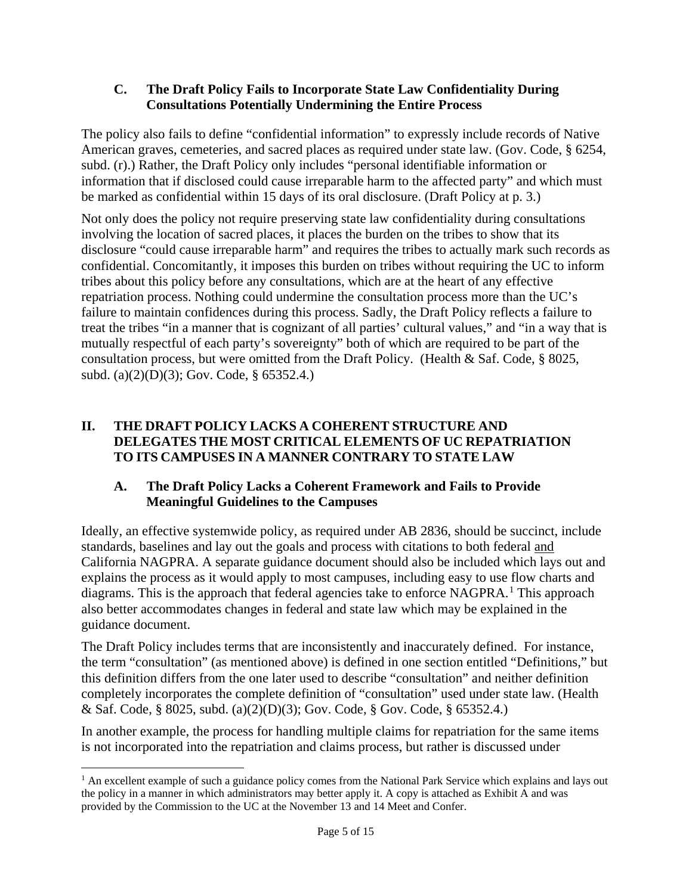#### **C. The Draft Policy Fails to Incorporate State Law Confidentiality During Consultations Potentially Undermining the Entire Process**

The policy also fails to define "confidential information" to expressly include records of Native American graves, cemeteries, and sacred places as required under state law. (Gov. Code, § 6254, subd. (r).) Rather, the Draft Policy only includes "personal identifiable information or information that if disclosed could cause irreparable harm to the affected party" and which must be marked as confidential within 15 days of its oral disclosure. (Draft Policy at p. 3.)

Not only does the policy not require preserving state law confidentiality during consultations involving the location of sacred places, it places the burden on the tribes to show that its disclosure "could cause irreparable harm" and requires the tribes to actually mark such records as confidential. Concomitantly, it imposes this burden on tribes without requiring the UC to inform tribes about this policy before any consultations, which are at the heart of any effective repatriation process. Nothing could undermine the consultation process more than the UC's failure to maintain confidences during this process. Sadly, the Draft Policy reflects a failure to treat the tribes "in a manner that is cognizant of all parties' cultural values," and "in a way that is mutually respectful of each party's sovereignty" both of which are required to be part of the consultation process, but were omitted from the Draft Policy. (Health & Saf. Code, § 8025, subd. (a)(2)(D)(3); Gov. Code, § 65352.4.)

#### **II. THE DRAFT POLICY LACKS A COHERENT STRUCTURE AND DELEGATES THE MOST CRITICAL ELEMENTS OF UC REPATRIATION TO ITS CAMPUSES IN A MANNER CONTRARY TO STATE LAW**

#### **A. The Draft Policy Lacks a Coherent Framework and Fails to Provide Meaningful Guidelines to the Campuses**

Ideally, an effective systemwide policy, as required under AB 2836, should be succinct, include standards, baselines and lay out the goals and process with citations to both federal and California NAGPRA. A separate guidance document should also be included which lays out and explains the process as it would apply to most campuses, including easy to use flow charts and diagrams. This is the approach that federal agencies take to enforce NAGPRA.<sup>[1](#page-4-0)</sup> This approach also better accommodates changes in federal and state law which may be explained in the guidance document.

The Draft Policy includes terms that are inconsistently and inaccurately defined. For instance, the term "consultation" (as mentioned above) is defined in one section entitled "Definitions," but this definition differs from the one later used to describe "consultation" and neither definition completely incorporates the complete definition of "consultation" used under state law. (Health & Saf. Code, § 8025, subd. (a)(2)(D)(3); Gov. Code, § Gov. Code, § 65352.4.)

In another example, the process for handling multiple claims for repatriation for the same items is not incorporated into the repatriation and claims process, but rather is discussed under

<span id="page-4-0"></span> $<sup>1</sup>$  An excellent example of such a guidance policy comes from the National Park Service which explains and lays out</sup> the policy in a manner in which administrators may better apply it. A copy is attached as Exhibit A and was provided by the Commission to the UC at the November 13 and 14 Meet and Confer.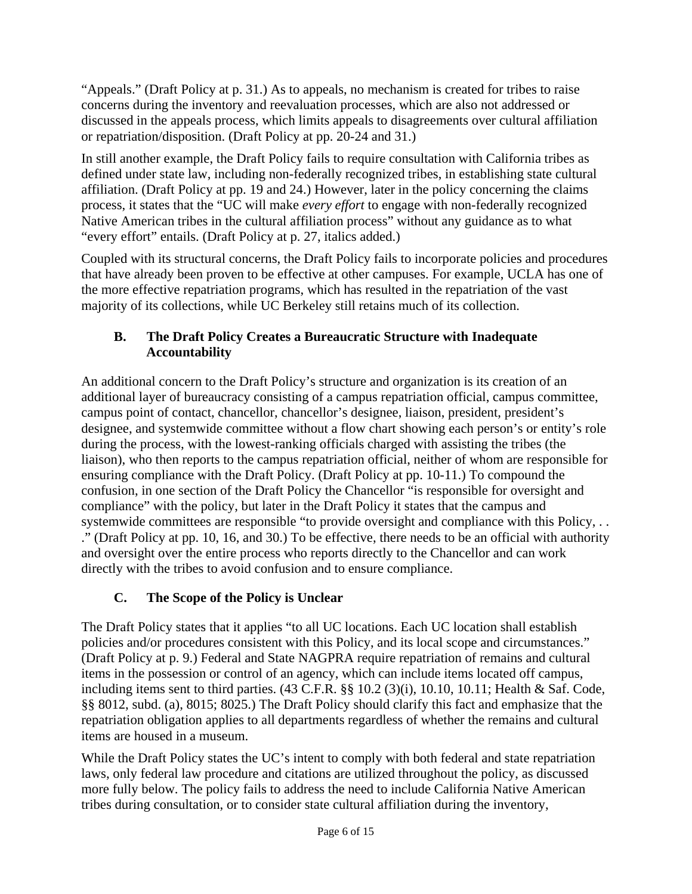"Appeals." (Draft Policy at p. 31.) As to appeals, no mechanism is created for tribes to raise concerns during the inventory and reevaluation processes, which are also not addressed or discussed in the appeals process, which limits appeals to disagreements over cultural affiliation or repatriation/disposition. (Draft Policy at pp. 20-24 and 31.)

In still another example, the Draft Policy fails to require consultation with California tribes as defined under state law, including non-federally recognized tribes, in establishing state cultural affiliation. (Draft Policy at pp. 19 and 24.) However, later in the policy concerning the claims process, it states that the "UC will make *every effort* to engage with non-federally recognized Native American tribes in the cultural affiliation process" without any guidance as to what "every effort" entails. (Draft Policy at p. 27, italics added.)

Coupled with its structural concerns, the Draft Policy fails to incorporate policies and procedures that have already been proven to be effective at other campuses. For example, UCLA has one of the more effective repatriation programs, which has resulted in the repatriation of the vast majority of its collections, while UC Berkeley still retains much of its collection.

# **B. The Draft Policy Creates a Bureaucratic Structure with Inadequate Accountability**

An additional concern to the Draft Policy's structure and organization is its creation of an additional layer of bureaucracy consisting of a campus repatriation official, campus committee, campus point of contact, chancellor, chancellor's designee, liaison, president, president's designee, and systemwide committee without a flow chart showing each person's or entity's role during the process, with the lowest-ranking officials charged with assisting the tribes (the liaison), who then reports to the campus repatriation official, neither of whom are responsible for ensuring compliance with the Draft Policy. (Draft Policy at pp. 10-11.) To compound the confusion, in one section of the Draft Policy the Chancellor "is responsible for oversight and compliance" with the policy, but later in the Draft Policy it states that the campus and systemwide committees are responsible "to provide oversight and compliance with this Policy, ... ." (Draft Policy at pp. 10, 16, and 30.) To be effective, there needs to be an official with authority and oversight over the entire process who reports directly to the Chancellor and can work directly with the tribes to avoid confusion and to ensure compliance.

# **C. The Scope of the Policy is Unclear**

The Draft Policy states that it applies "to all UC locations. Each UC location shall establish policies and/or procedures consistent with this Policy, and its local scope and circumstances." (Draft Policy at p. 9.) Federal and State NAGPRA require repatriation of remains and cultural items in the possession or control of an agency, which can include items located off campus, including items sent to third parties. (43 C.F.R. §§ 10.2 (3)(i), 10.10, 10.11; Health & Saf. Code, §§ 8012, subd. (a), 8015; 8025.) The Draft Policy should clarify this fact and emphasize that the repatriation obligation applies to all departments regardless of whether the remains and cultural items are housed in a museum.

While the Draft Policy states the UC's intent to comply with both federal and state repatriation laws, only federal law procedure and citations are utilized throughout the policy, as discussed more fully below. The policy fails to address the need to include California Native American tribes during consultation, or to consider state cultural affiliation during the inventory,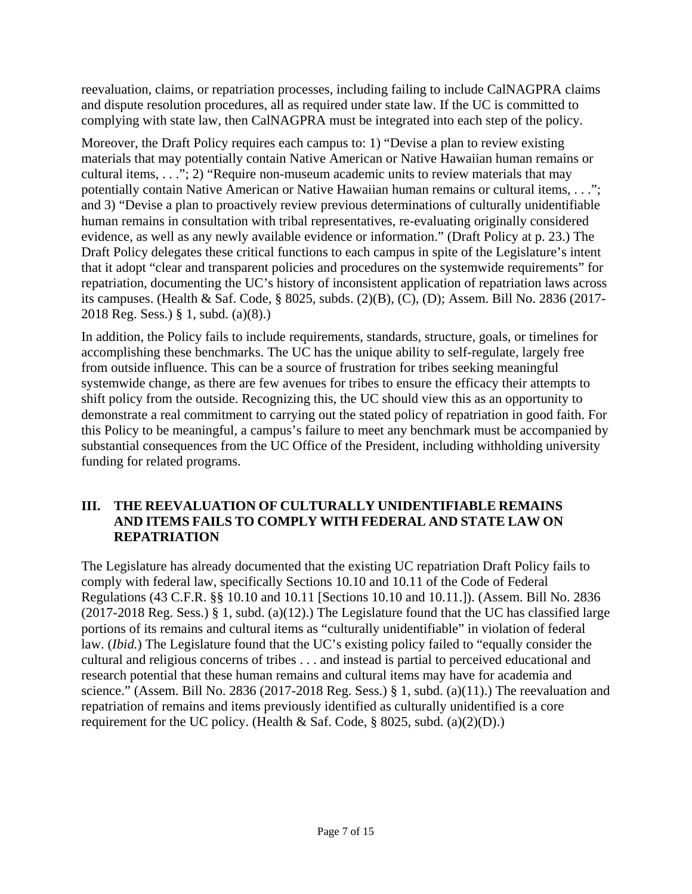reevaluation, claims, or repatriation processes, including failing to include CalNAGPRA claims and dispute resolution procedures, all as required under state law. If the UC is committed to complying with state law, then CalNAGPRA must be integrated into each step of the policy.

Moreover, the Draft Policy requires each campus to: 1) "Devise a plan to review existing materials that may potentially contain Native American or Native Hawaiian human remains or cultural items, . . ."; 2) "Require non-museum academic units to review materials that may potentially contain Native American or Native Hawaiian human remains or cultural items, . . ."; and 3) "Devise a plan to proactively review previous determinations of culturally unidentifiable human remains in consultation with tribal representatives, re-evaluating originally considered evidence, as well as any newly available evidence or information." (Draft Policy at p. 23.) The Draft Policy delegates these critical functions to each campus in spite of the Legislature's intent that it adopt "clear and transparent policies and procedures on the systemwide requirements" for repatriation, documenting the UC's history of inconsistent application of repatriation laws across its campuses. (Health & Saf. Code, § 8025, subds. (2)(B), (C), (D); Assem. Bill No. 2836 (2017- 2018 Reg. Sess.) § 1, subd. (a)(8).)

In addition, the Policy fails to include requirements, standards, structure, goals, or timelines for accomplishing these benchmarks. The UC has the unique ability to self-regulate, largely free from outside influence. This can be a source of frustration for tribes seeking meaningful systemwide change, as there are few avenues for tribes to ensure the efficacy their attempts to shift policy from the outside. Recognizing this, the UC should view this as an opportunity to demonstrate a real commitment to carrying out the stated policy of repatriation in good faith. For this Policy to be meaningful, a campus's failure to meet any benchmark must be accompanied by substantial consequences from the UC Office of the President, including withholding university funding for related programs.

#### **III. THE REEVALUATION OF CULTURALLY UNIDENTIFIABLE REMAINS AND ITEMS FAILS TO COMPLY WITH FEDERAL AND STATE LAW ON REPATRIATION**

The Legislature has already documented that the existing UC repatriation Draft Policy fails to comply with federal law, specifically Sections 10.10 and 10.11 of the Code of Federal Regulations (43 C.F.R. §§ 10.10 and 10.11 [Sections 10.10 and 10.11.]). (Assem. Bill No. 2836 (2017-2018 Reg. Sess.) § 1, subd. (a)(12).) The Legislature found that the UC has classified large portions of its remains and cultural items as "culturally unidentifiable" in violation of federal law. (*Ibid.*) The Legislature found that the UC's existing policy failed to "equally consider the cultural and religious concerns of tribes . . . and instead is partial to perceived educational and research potential that these human remains and cultural items may have for academia and science." (Assem. Bill No. 2836 (2017-2018 Reg. Sess.)  $\S$  1, subd. (a)(11).) The reevaluation and repatriation of remains and items previously identified as culturally unidentified is a core requirement for the UC policy. (Health & Saf. Code,  $\S$  8025, subd. (a)(2)(D).)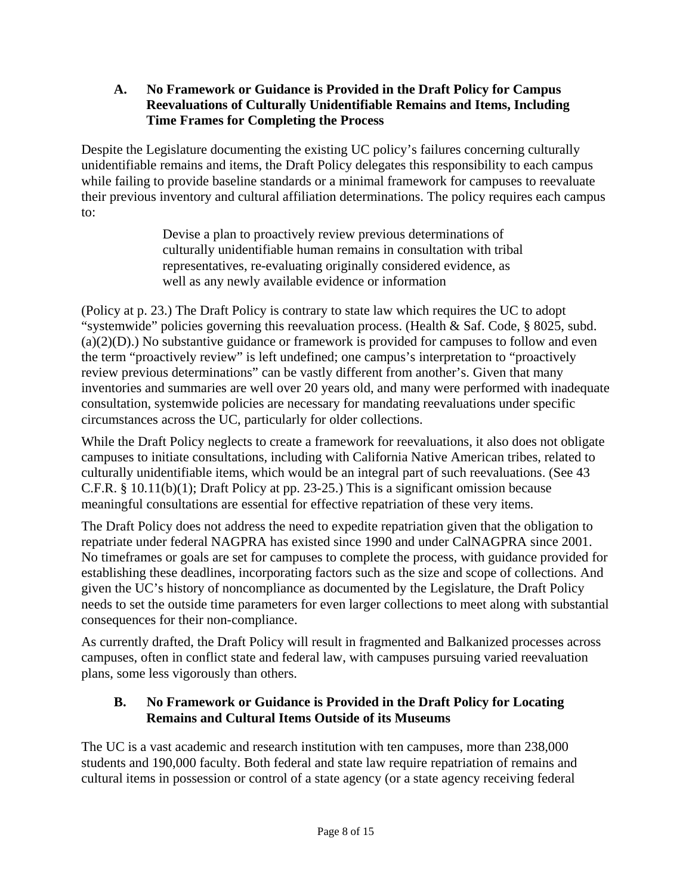#### **A. No Framework or Guidance is Provided in the Draft Policy for Campus Reevaluations of Culturally Unidentifiable Remains and Items, Including Time Frames for Completing the Process**

Despite the Legislature documenting the existing UC policy's failures concerning culturally unidentifiable remains and items, the Draft Policy delegates this responsibility to each campus while failing to provide baseline standards or a minimal framework for campuses to reevaluate their previous inventory and cultural affiliation determinations. The policy requires each campus to:

> Devise a plan to proactively review previous determinations of culturally unidentifiable human remains in consultation with tribal representatives, re-evaluating originally considered evidence, as well as any newly available evidence or information

(Policy at p. 23.) The Draft Policy is contrary to state law which requires the UC to adopt "systemwide" policies governing this reevaluation process. (Health & Saf. Code, § 8025, subd.  $(a)(2)(D)$ .) No substantive guidance or framework is provided for campuses to follow and even the term "proactively review" is left undefined; one campus's interpretation to "proactively review previous determinations" can be vastly different from another's. Given that many inventories and summaries are well over 20 years old, and many were performed with inadequate consultation, systemwide policies are necessary for mandating reevaluations under specific circumstances across the UC, particularly for older collections.

While the Draft Policy neglects to create a framework for reevaluations, it also does not obligate campuses to initiate consultations, including with California Native American tribes, related to culturally unidentifiable items, which would be an integral part of such reevaluations. (See 43 C.F.R. § 10.11(b)(1); Draft Policy at pp. 23-25.) This is a significant omission because meaningful consultations are essential for effective repatriation of these very items.

The Draft Policy does not address the need to expedite repatriation given that the obligation to repatriate under federal NAGPRA has existed since 1990 and under CalNAGPRA since 2001. No timeframes or goals are set for campuses to complete the process, with guidance provided for establishing these deadlines, incorporating factors such as the size and scope of collections. And given the UC's history of noncompliance as documented by the Legislature, the Draft Policy needs to set the outside time parameters for even larger collections to meet along with substantial consequences for their non-compliance.

As currently drafted, the Draft Policy will result in fragmented and Balkanized processes across campuses, often in conflict state and federal law, with campuses pursuing varied reevaluation plans, some less vigorously than others.

### **B. No Framework or Guidance is Provided in the Draft Policy for Locating Remains and Cultural Items Outside of its Museums**

The UC is a vast academic and research institution with ten campuses, more than 238,000 students and 190,000 faculty. Both federal and state law require repatriation of remains and cultural items in possession or control of a state agency (or a state agency receiving federal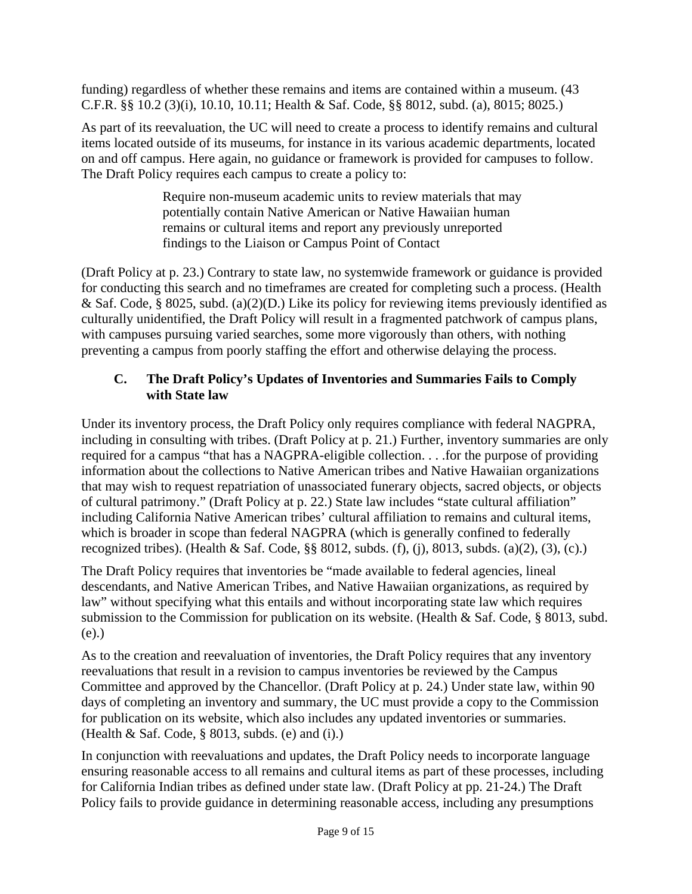funding) regardless of whether these remains and items are contained within a museum. (43 C.F.R. §§ 10.2 (3)(i), 10.10, 10.11; Health & Saf. Code, §§ 8012, subd. (a), 8015; 8025.)

As part of its reevaluation, the UC will need to create a process to identify remains and cultural items located outside of its museums, for instance in its various academic departments, located on and off campus. Here again, no guidance or framework is provided for campuses to follow. The Draft Policy requires each campus to create a policy to:

> Require non-museum academic units to review materials that may potentially contain Native American or Native Hawaiian human remains or cultural items and report any previously unreported findings to the Liaison or Campus Point of Contact

(Draft Policy at p. 23.) Contrary to state law, no systemwide framework or guidance is provided for conducting this search and no timeframes are created for completing such a process. (Health & Saf. Code, § 8025, subd. (a)(2)(D.) Like its policy for reviewing items previously identified as culturally unidentified, the Draft Policy will result in a fragmented patchwork of campus plans, with campuses pursuing varied searches, some more vigorously than others, with nothing preventing a campus from poorly staffing the effort and otherwise delaying the process.

## **C. The Draft Policy's Updates of Inventories and Summaries Fails to Comply with State law**

Under its inventory process, the Draft Policy only requires compliance with federal NAGPRA, including in consulting with tribes. (Draft Policy at p. 21.) Further, inventory summaries are only required for a campus "that has a NAGPRA-eligible collection. . . .for the purpose of providing information about the collections to Native American tribes and Native Hawaiian organizations that may wish to request repatriation of unassociated funerary objects, sacred objects, or objects of cultural patrimony." (Draft Policy at p. 22.) State law includes "state cultural affiliation" including California Native American tribes' cultural affiliation to remains and cultural items, which is broader in scope than federal NAGPRA (which is generally confined to federally recognized tribes). (Health & Saf. Code,  $\S$ § 8012, subds. (f), (j), 8013, subds. (a)(2), (3), (c).)

The Draft Policy requires that inventories be "made available to federal agencies, lineal descendants, and Native American Tribes, and Native Hawaiian organizations, as required by law" without specifying what this entails and without incorporating state law which requires submission to the Commission for publication on its website. (Health & Saf. Code, § 8013, subd. (e).)

As to the creation and reevaluation of inventories, the Draft Policy requires that any inventory reevaluations that result in a revision to campus inventories be reviewed by the Campus Committee and approved by the Chancellor. (Draft Policy at p. 24.) Under state law, within 90 days of completing an inventory and summary, the UC must provide a copy to the Commission for publication on its website, which also includes any updated inventories or summaries. (Health & Saf. Code, § 8013, subds. (e) and (i).)

In conjunction with reevaluations and updates, the Draft Policy needs to incorporate language ensuring reasonable access to all remains and cultural items as part of these processes, including for California Indian tribes as defined under state law. (Draft Policy at pp. 21-24.) The Draft Policy fails to provide guidance in determining reasonable access, including any presumptions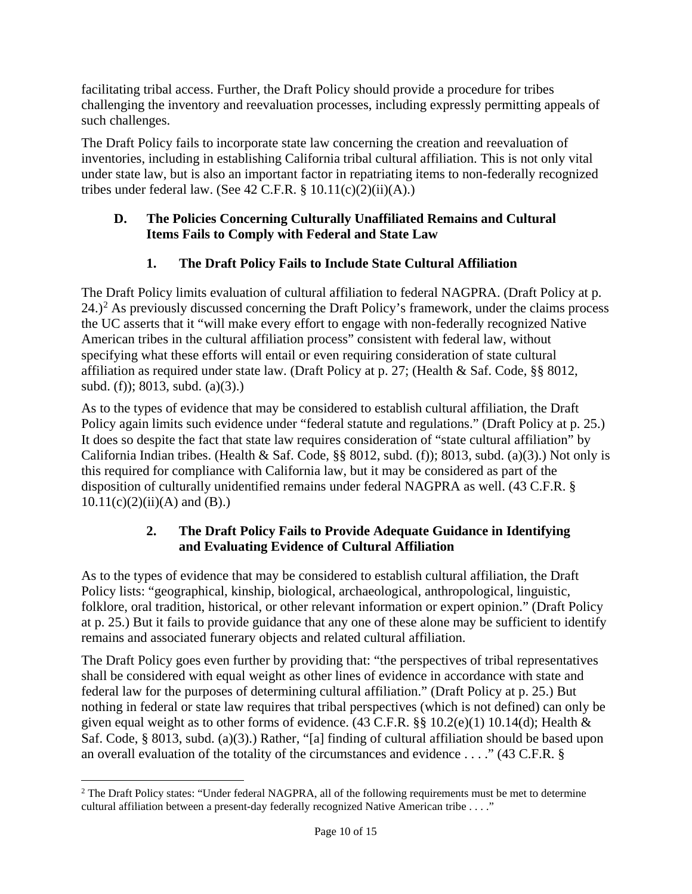facilitating tribal access. Further, the Draft Policy should provide a procedure for tribes challenging the inventory and reevaluation processes, including expressly permitting appeals of such challenges.

The Draft Policy fails to incorporate state law concerning the creation and reevaluation of inventories, including in establishing California tribal cultural affiliation. This is not only vital under state law, but is also an important factor in repatriating items to non-federally recognized tribes under federal law. (See  $42$  C.F.R.  $\S$  10.11(c)(2)(ii)(A).)

#### **D. The Policies Concerning Culturally Unaffiliated Remains and Cultural Items Fails to Comply with Federal and State Law**

# **1. The Draft Policy Fails to Include State Cultural Affiliation**

The Draft Policy limits evaluation of cultural affiliation to federal NAGPRA. (Draft Policy at p.  $24.$  $24.$ <sup>2</sup> As previously discussed concerning the Draft Policy's framework, under the claims process the UC asserts that it "will make every effort to engage with non-federally recognized Native American tribes in the cultural affiliation process" consistent with federal law, without specifying what these efforts will entail or even requiring consideration of state cultural affiliation as required under state law. (Draft Policy at p. 27; (Health & Saf. Code, §§ 8012, subd. (f)); 8013, subd. (a)(3).)

As to the types of evidence that may be considered to establish cultural affiliation, the Draft Policy again limits such evidence under "federal statute and regulations." (Draft Policy at p. 25.) It does so despite the fact that state law requires consideration of "state cultural affiliation" by California Indian tribes. (Health & Saf. Code,  $\S$ § 8012, subd. (f)); 8013, subd. (a)(3).) Not only is this required for compliance with California law, but it may be considered as part of the disposition of culturally unidentified remains under federal NAGPRA as well. (43 C.F.R. §  $10.11(c)(2)(ii)(A)$  and (B).)

### **2. The Draft Policy Fails to Provide Adequate Guidance in Identifying and Evaluating Evidence of Cultural Affiliation**

As to the types of evidence that may be considered to establish cultural affiliation, the Draft Policy lists: "geographical, kinship, biological, archaeological, anthropological, linguistic, folklore, oral tradition, historical, or other relevant information or expert opinion." (Draft Policy at p. 25.) But it fails to provide guidance that any one of these alone may be sufficient to identify remains and associated funerary objects and related cultural affiliation.

The Draft Policy goes even further by providing that: "the perspectives of tribal representatives shall be considered with equal weight as other lines of evidence in accordance with state and federal law for the purposes of determining cultural affiliation." (Draft Policy at p. 25.) But nothing in federal or state law requires that tribal perspectives (which is not defined) can only be given equal weight as to other forms of evidence. (43 C.F.R.  $\S$ § 10.2(e)(1) 10.14(d); Health & Saf. Code, § 8013, subd. (a)(3).) Rather, "[a] finding of cultural affiliation should be based upon an overall evaluation of the totality of the circumstances and evidence . . . ." (43 C.F.R. §

<span id="page-9-0"></span><sup>&</sup>lt;sup>2</sup> The Draft Policy states: "Under federal NAGPRA, all of the following requirements must be met to determine cultural affiliation between a present-day federally recognized Native American tribe . . . ."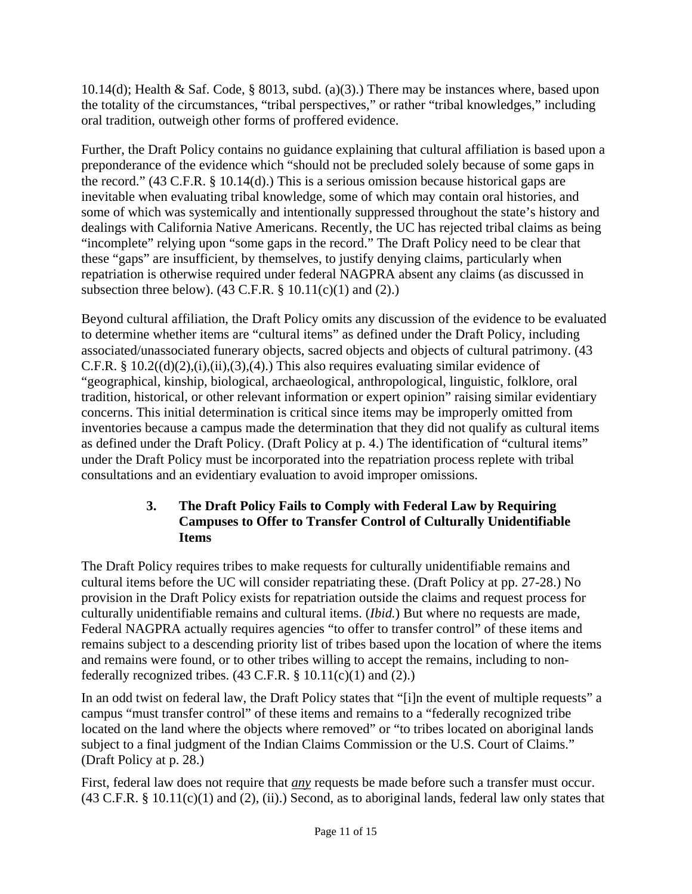10.14(d); Health & Saf. Code, § 8013, subd. (a)(3).) There may be instances where, based upon the totality of the circumstances, "tribal perspectives," or rather "tribal knowledges," including oral tradition, outweigh other forms of proffered evidence.

Further, the Draft Policy contains no guidance explaining that cultural affiliation is based upon a preponderance of the evidence which "should not be precluded solely because of some gaps in the record." (43 C.F.R. § 10.14(d).) This is a serious omission because historical gaps are inevitable when evaluating tribal knowledge, some of which may contain oral histories, and some of which was systemically and intentionally suppressed throughout the state's history and dealings with California Native Americans. Recently, the UC has rejected tribal claims as being "incomplete" relying upon "some gaps in the record." The Draft Policy need to be clear that these "gaps" are insufficient, by themselves, to justify denying claims, particularly when repatriation is otherwise required under federal NAGPRA absent any claims (as discussed in subsection three below).  $(43 \text{ C.F.R.} \S 10.11(c)(1)$  and  $(2)$ .

Beyond cultural affiliation, the Draft Policy omits any discussion of the evidence to be evaluated to determine whether items are "cultural items" as defined under the Draft Policy, including associated/unassociated funerary objects, sacred objects and objects of cultural patrimony. (43 C.F.R. §  $10.2((d)(2),(i),(ii),(3),(4))$ . This also requires evaluating similar evidence of "geographical, kinship, biological, archaeological, anthropological, linguistic, folklore, oral tradition, historical, or other relevant information or expert opinion" raising similar evidentiary concerns. This initial determination is critical since items may be improperly omitted from inventories because a campus made the determination that they did not qualify as cultural items as defined under the Draft Policy. (Draft Policy at p. 4.) The identification of "cultural items" under the Draft Policy must be incorporated into the repatriation process replete with tribal consultations and an evidentiary evaluation to avoid improper omissions.

### **3. The Draft Policy Fails to Comply with Federal Law by Requiring Campuses to Offer to Transfer Control of Culturally Unidentifiable Items**

The Draft Policy requires tribes to make requests for culturally unidentifiable remains and cultural items before the UC will consider repatriating these. (Draft Policy at pp. 27-28.) No provision in the Draft Policy exists for repatriation outside the claims and request process for culturally unidentifiable remains and cultural items. (*Ibid.*) But where no requests are made, Federal NAGPRA actually requires agencies "to offer to transfer control" of these items and remains subject to a descending priority list of tribes based upon the location of where the items and remains were found, or to other tribes willing to accept the remains, including to nonfederally recognized tribes.  $(43 \text{ C.F.R. } § 10.11(c)(1)$  and  $(2)$ .)

In an odd twist on federal law, the Draft Policy states that "[i]n the event of multiple requests" a campus "must transfer control" of these items and remains to a "federally recognized tribe located on the land where the objects where removed" or "to tribes located on aboriginal lands subject to a final judgment of the Indian Claims Commission or the U.S. Court of Claims." (Draft Policy at p. 28.)

First, federal law does not require that *any* requests be made before such a transfer must occur.  $(43 \text{ C.F.R. } § 10.11(c)(1)$  and  $(2), (ii)$ .) Second, as to aboriginal lands, federal law only states that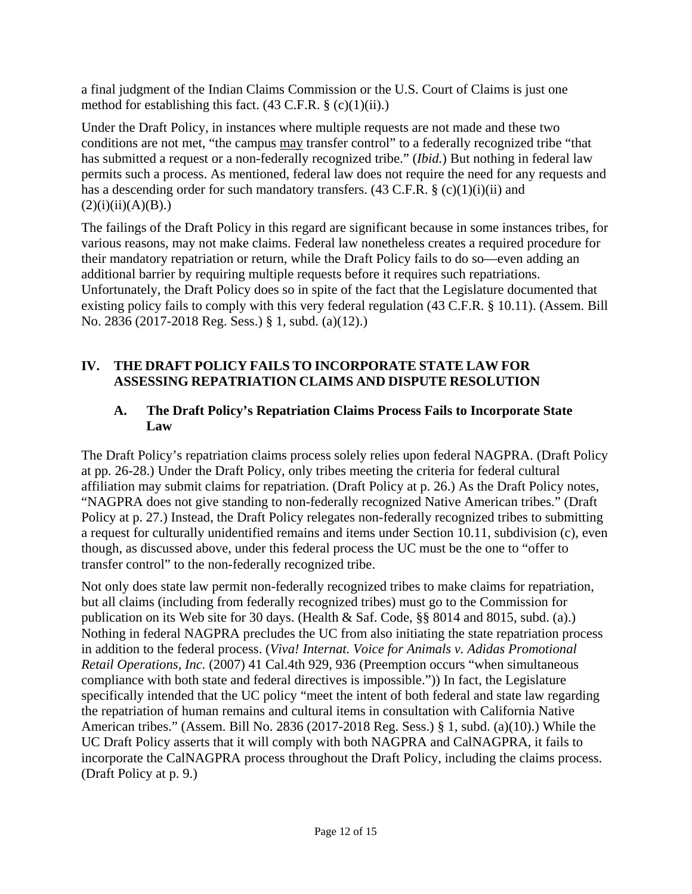a final judgment of the Indian Claims Commission or the U.S. Court of Claims is just one method for establishing this fact.  $(43 \text{ C.F.R.} \S (c)(1)(ii))$ .

Under the Draft Policy, in instances where multiple requests are not made and these two conditions are not met, "the campus may transfer control" to a federally recognized tribe "that has submitted a request or a non-federally recognized tribe." (*Ibid.*) But nothing in federal law permits such a process. As mentioned, federal law does not require the need for any requests and has a descending order for such mandatory transfers.  $(43 \text{ C.F.R.} \S (c)(1)(i)(ii)$  and  $(2)(i)(ii)(A)(B).)$ 

The failings of the Draft Policy in this regard are significant because in some instances tribes, for various reasons, may not make claims. Federal law nonetheless creates a required procedure for their mandatory repatriation or return, while the Draft Policy fails to do so—even adding an additional barrier by requiring multiple requests before it requires such repatriations. Unfortunately, the Draft Policy does so in spite of the fact that the Legislature documented that existing policy fails to comply with this very federal regulation (43 C.F.R. § 10.11). (Assem. Bill No. 2836 (2017-2018 Reg. Sess.) § 1, subd. (a)(12).)

## **IV. THE DRAFT POLICY FAILS TO INCORPORATE STATE LAW FOR ASSESSING REPATRIATION CLAIMS AND DISPUTE RESOLUTION**

### **A. The Draft Policy's Repatriation Claims Process Fails to Incorporate State Law**

The Draft Policy's repatriation claims process solely relies upon federal NAGPRA. (Draft Policy at pp. 26-28.) Under the Draft Policy, only tribes meeting the criteria for federal cultural affiliation may submit claims for repatriation. (Draft Policy at p. 26.) As the Draft Policy notes, "NAGPRA does not give standing to non-federally recognized Native American tribes." (Draft Policy at p. 27.) Instead, the Draft Policy relegates non-federally recognized tribes to submitting a request for culturally unidentified remains and items under Section 10.11, subdivision (c), even though, as discussed above, under this federal process the UC must be the one to "offer to transfer control" to the non-federally recognized tribe.

Not only does state law permit non-federally recognized tribes to make claims for repatriation, but all claims (including from federally recognized tribes) must go to the Commission for publication on its Web site for 30 days. (Health & Saf. Code, §§ 8014 and 8015, subd. (a).) Nothing in federal NAGPRA precludes the UC from also initiating the state repatriation process in addition to the federal process. (*Viva! Internat. Voice for Animals v. Adidas Promotional Retail Operations, Inc.* (2007) 41 Cal.4th 929, 936 (Preemption occurs "when simultaneous compliance with both state and federal directives is impossible.")) In fact, the Legislature specifically intended that the UC policy "meet the intent of both federal and state law regarding the repatriation of human remains and cultural items in consultation with California Native American tribes." (Assem. Bill No. 2836 (2017-2018 Reg. Sess.) § 1, subd. (a)(10).) While the UC Draft Policy asserts that it will comply with both NAGPRA and CalNAGPRA, it fails to incorporate the CalNAGPRA process throughout the Draft Policy, including the claims process. (Draft Policy at p. 9.)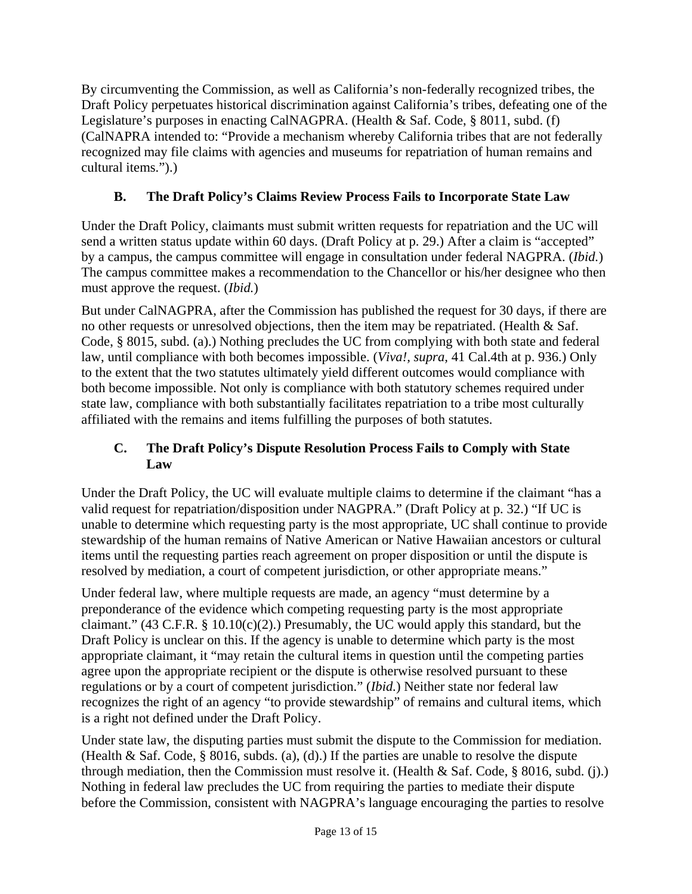By circumventing the Commission, as well as California's non-federally recognized tribes, the Draft Policy perpetuates historical discrimination against California's tribes, defeating one of the Legislature's purposes in enacting CalNAGPRA. (Health & Saf. Code, § 8011, subd. (f) (CalNAPRA intended to: "Provide a mechanism whereby California tribes that are not federally recognized may file claims with agencies and museums for repatriation of human remains and cultural items.").)

# **B. The Draft Policy's Claims Review Process Fails to Incorporate State Law**

Under the Draft Policy, claimants must submit written requests for repatriation and the UC will send a written status update within 60 days. (Draft Policy at p. 29.) After a claim is "accepted" by a campus, the campus committee will engage in consultation under federal NAGPRA. (*Ibid.*) The campus committee makes a recommendation to the Chancellor or his/her designee who then must approve the request. (*Ibid.*)

But under CalNAGPRA, after the Commission has published the request for 30 days, if there are no other requests or unresolved objections, then the item may be repatriated. (Health & Saf. Code, § 8015, subd. (a).) Nothing precludes the UC from complying with both state and federal law, until compliance with both becomes impossible. (*Viva!, supra,* 41 Cal.4th at p. 936.) Only to the extent that the two statutes ultimately yield different outcomes would compliance with both become impossible. Not only is compliance with both statutory schemes required under state law, compliance with both substantially facilitates repatriation to a tribe most culturally affiliated with the remains and items fulfilling the purposes of both statutes.

## **C. The Draft Policy's Dispute Resolution Process Fails to Comply with State Law**

Under the Draft Policy, the UC will evaluate multiple claims to determine if the claimant "has a valid request for repatriation/disposition under NAGPRA." (Draft Policy at p. 32.) "If UC is unable to determine which requesting party is the most appropriate, UC shall continue to provide stewardship of the human remains of Native American or Native Hawaiian ancestors or cultural items until the requesting parties reach agreement on proper disposition or until the dispute is resolved by mediation, a court of competent jurisdiction, or other appropriate means."

Under federal law, where multiple requests are made, an agency "must determine by a preponderance of the evidence which competing requesting party is the most appropriate claimant." (43 C.F.R. § 10.10(c)(2).) Presumably, the UC would apply this standard, but the Draft Policy is unclear on this. If the agency is unable to determine which party is the most appropriate claimant, it "may retain the cultural items in question until the competing parties agree upon the appropriate recipient or the dispute is otherwise resolved pursuant to these regulations or by a court of competent jurisdiction." (*Ibid.*) Neither state nor federal law recognizes the right of an agency "to provide stewardship" of remains and cultural items, which is a right not defined under the Draft Policy.

Under state law, the disputing parties must submit the dispute to the Commission for mediation. (Health & Saf. Code, § 8016, subds. (a), (d).) If the parties are unable to resolve the dispute through mediation, then the Commission must resolve it. (Health & Saf. Code, § 8016, subd. (j).) Nothing in federal law precludes the UC from requiring the parties to mediate their dispute before the Commission, consistent with NAGPRA's language encouraging the parties to resolve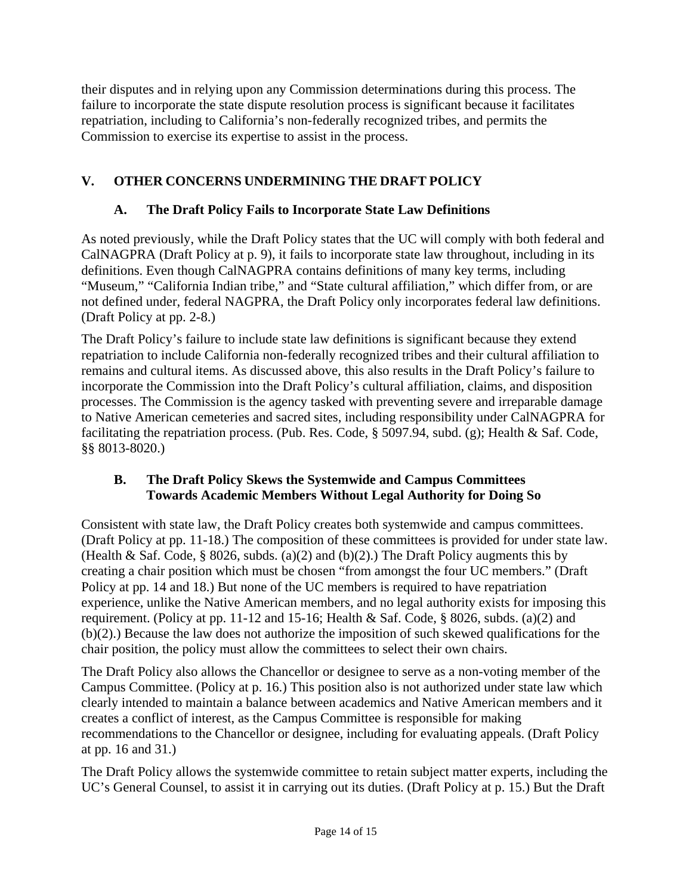their disputes and in relying upon any Commission determinations during this process. The failure to incorporate the state dispute resolution process is significant because it facilitates repatriation, including to California's non-federally recognized tribes, and permits the Commission to exercise its expertise to assist in the process.

# **V. OTHER CONCERNS UNDERMINING THE DRAFT POLICY**

## **A. The Draft Policy Fails to Incorporate State Law Definitions**

As noted previously, while the Draft Policy states that the UC will comply with both federal and CalNAGPRA (Draft Policy at p. 9), it fails to incorporate state law throughout, including in its definitions. Even though CalNAGPRA contains definitions of many key terms, including "Museum," "California Indian tribe," and "State cultural affiliation," which differ from, or are not defined under, federal NAGPRA, the Draft Policy only incorporates federal law definitions. (Draft Policy at pp. 2-8.)

The Draft Policy's failure to include state law definitions is significant because they extend repatriation to include California non-federally recognized tribes and their cultural affiliation to remains and cultural items. As discussed above, this also results in the Draft Policy's failure to incorporate the Commission into the Draft Policy's cultural affiliation, claims, and disposition processes. The Commission is the agency tasked with preventing severe and irreparable damage to Native American cemeteries and sacred sites, including responsibility under CalNAGPRA for facilitating the repatriation process. (Pub. Res. Code, § 5097.94, subd. (g); Health & Saf. Code, §§ 8013-8020.)

#### **B. The Draft Policy Skews the Systemwide and Campus Committees Towards Academic Members Without Legal Authority for Doing So**

Consistent with state law, the Draft Policy creates both systemwide and campus committees. (Draft Policy at pp. 11-18.) The composition of these committees is provided for under state law. (Health & Saf. Code,  $\S$  8026, subds. (a)(2) and (b)(2).) The Draft Policy augments this by creating a chair position which must be chosen "from amongst the four UC members." (Draft Policy at pp. 14 and 18.) But none of the UC members is required to have repatriation experience, unlike the Native American members, and no legal authority exists for imposing this requirement. (Policy at pp. 11-12 and 15-16; Health & Saf. Code, § 8026, subds. (a)(2) and (b)(2).) Because the law does not authorize the imposition of such skewed qualifications for the chair position, the policy must allow the committees to select their own chairs.

The Draft Policy also allows the Chancellor or designee to serve as a non-voting member of the Campus Committee. (Policy at p. 16.) This position also is not authorized under state law which clearly intended to maintain a balance between academics and Native American members and it creates a conflict of interest, as the Campus Committee is responsible for making recommendations to the Chancellor or designee, including for evaluating appeals. (Draft Policy at pp. 16 and 31.)

The Draft Policy allows the systemwide committee to retain subject matter experts, including the UC's General Counsel, to assist it in carrying out its duties. (Draft Policy at p. 15.) But the Draft